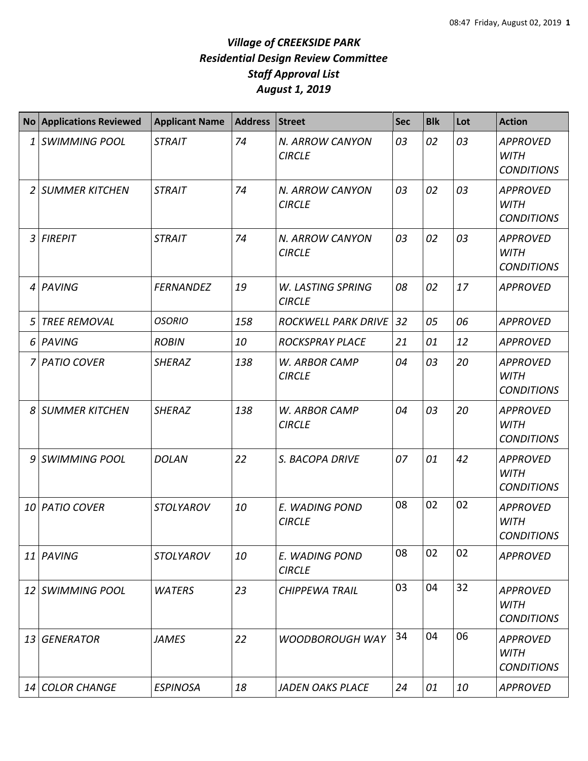|    | <b>No Applications Reviewed</b> | <b>Applicant Name</b> | Address | <b>Street</b>                      | <b>Sec</b> | <b>Blk</b> | Lot | <b>Action</b>                                       |
|----|---------------------------------|-----------------------|---------|------------------------------------|------------|------------|-----|-----------------------------------------------------|
| 1  | <b>SWIMMING POOL</b>            | <b>STRAIT</b>         | 74      | N. ARROW CANYON<br><b>CIRCLE</b>   | 03         | 02         | 03  | <b>APPROVED</b><br><b>WITH</b><br><b>CONDITIONS</b> |
| 2  | <b>SUMMER KITCHEN</b>           | <b>STRAIT</b>         | 74      | N. ARROW CANYON<br><b>CIRCLE</b>   | 03         | 02         | 03  | <b>APPROVED</b><br><b>WITH</b><br><b>CONDITIONS</b> |
| 3  | <b>FIREPIT</b>                  | <b>STRAIT</b>         | 74      | N. ARROW CANYON<br><b>CIRCLE</b>   | 03         | 02         | 03  | <b>APPROVED</b><br><b>WITH</b><br><b>CONDITIONS</b> |
| 4  | PAVING                          | <b>FERNANDEZ</b>      | 19      | W. LASTING SPRING<br><b>CIRCLE</b> | 08         | 02         | 17  | <b>APPROVED</b>                                     |
| 5  | <b>TREE REMOVAL</b>             | <b>OSORIO</b>         | 158     | <b>ROCKWELL PARK DRIVE</b>         | 32         | 05         | 06  | <b>APPROVED</b>                                     |
| 6  | PAVING                          | <b>ROBIN</b>          | 10      | <b>ROCKSPRAY PLACE</b>             | 21         | 01         | 12  | <b>APPROVED</b>                                     |
| 7  | <b>PATIO COVER</b>              | <b>SHERAZ</b>         | 138     | W. ARBOR CAMP<br><b>CIRCLE</b>     | 04         | 03         | 20  | <b>APPROVED</b><br><b>WITH</b><br><b>CONDITIONS</b> |
| 8  | <b>SUMMER KITCHEN</b>           | <b>SHERAZ</b>         | 138     | W. ARBOR CAMP<br><b>CIRCLE</b>     | 04         | 03         | 20  | <b>APPROVED</b><br><b>WITH</b><br><b>CONDITIONS</b> |
| 9  | <b>SWIMMING POOL</b>            | <b>DOLAN</b>          | 22      | S. BACOPA DRIVE                    | 07         | 01         | 42  | <b>APPROVED</b><br><b>WITH</b><br><b>CONDITIONS</b> |
| 10 | <b>PATIO COVER</b>              | <b>STOLYAROV</b>      | 10      | E. WADING POND<br><b>CIRCLE</b>    | 08         | 02         | 02  | <b>APPROVED</b><br><b>WITH</b><br><b>CONDITIONS</b> |
|    | 11 PAVING                       | <b>STOLYAROV</b>      | 10      | E. WADING POND<br><b>CIRCLE</b>    | 08         | 02         | 02  | <b>APPROVED</b>                                     |
| 12 | <b>SWIMMING POOL</b>            | <b>WATERS</b>         | 23      | <b>CHIPPEWA TRAIL</b>              | 03         | 04         | 32  | <b>APPROVED</b><br><b>WITH</b><br><b>CONDITIONS</b> |
| 13 | <b>GENERATOR</b>                | <b>JAMES</b>          | 22      | <b>WOODBOROUGH WAY</b>             | 34         | 04         | 06  | <b>APPROVED</b><br><b>WITH</b><br><b>CONDITIONS</b> |
|    | 14 COLOR CHANGE                 | <b>ESPINOSA</b>       | 18      | <b>JADEN OAKS PLACE</b>            | 24         | 01         | 10  | <b>APPROVED</b>                                     |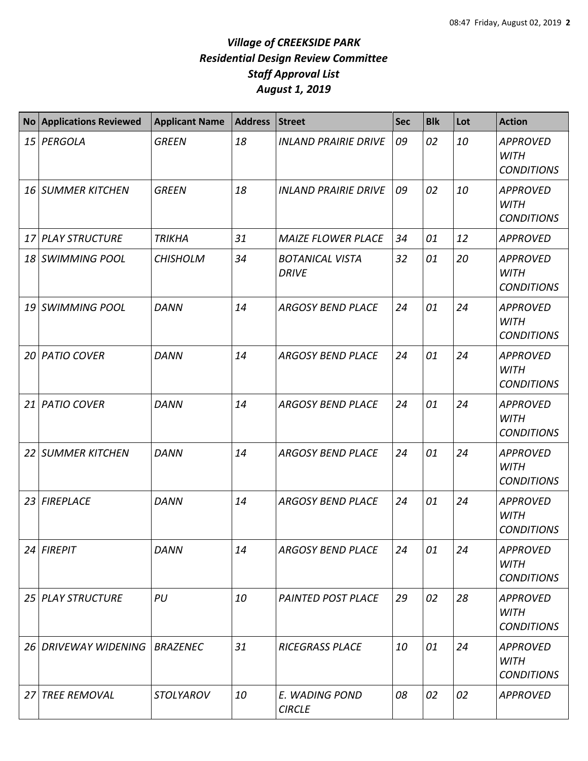|    | No Applications Reviewed      | <b>Applicant Name</b> | Address | <b>Street</b>                          | <b>Sec</b> | <b>Blk</b> | Lot | <b>Action</b>                                       |
|----|-------------------------------|-----------------------|---------|----------------------------------------|------------|------------|-----|-----------------------------------------------------|
|    | 15 PERGOLA                    | <b>GREEN</b>          | 18      | <b>INLAND PRAIRIE DRIVE</b>            | 09         | 02         | 10  | <b>APPROVED</b><br><b>WITH</b><br><b>CONDITIONS</b> |
|    | 16 SUMMER KITCHEN             | <b>GREEN</b>          | 18      | <b>INLAND PRAIRIE DRIVE</b>            | 09         | 02         | 10  | <b>APPROVED</b><br><b>WITH</b><br><b>CONDITIONS</b> |
| 17 | <b>PLAY STRUCTURE</b>         | <b>TRIKHA</b>         | 31      | <b>MAIZE FLOWER PLACE</b>              | 34         | 01         | 12  | <b>APPROVED</b>                                     |
|    | 18 SWIMMING POOL              | <b>CHISHOLM</b>       | 34      | <b>BOTANICAL VISTA</b><br><b>DRIVE</b> | 32         | 01         | 20  | <b>APPROVED</b><br><b>WITH</b><br><b>CONDITIONS</b> |
|    | 19 SWIMMING POOL              | <b>DANN</b>           | 14      | <b>ARGOSY BEND PLACE</b>               | 24         | 01         | 24  | <b>APPROVED</b><br><b>WITH</b><br><b>CONDITIONS</b> |
| 20 | <b>PATIO COVER</b>            | <b>DANN</b>           | 14      | <b>ARGOSY BEND PLACE</b>               | 24         | 01         | 24  | <b>APPROVED</b><br><b>WITH</b><br><b>CONDITIONS</b> |
| 21 | <b>PATIO COVER</b>            | <b>DANN</b>           | 14      | <b>ARGOSY BEND PLACE</b>               | 24         | 01         | 24  | <b>APPROVED</b><br><b>WITH</b><br><b>CONDITIONS</b> |
| 22 | <b>SUMMER KITCHEN</b>         | <b>DANN</b>           | 14      | <b>ARGOSY BEND PLACE</b>               | 24         | 01         | 24  | <b>APPROVED</b><br><b>WITH</b><br><b>CONDITIONS</b> |
|    | 23 FIREPLACE                  | <b>DANN</b>           | 14      | <b>ARGOSY BEND PLACE</b>               | 24         | 01         | 24  | <b>APPROVED</b><br><b>WITH</b><br><b>CONDITIONS</b> |
|    | $24$ FIREPIT                  | <b>DANN</b>           | 14      | <b>ARGOSY BEND PLACE</b>               | 24         | 01         | 24  | <b>APPROVED</b><br><b>WITH</b><br><b>CONDITIONS</b> |
|    | 25 PLAY STRUCTURE             | PU                    | 10      | <b>PAINTED POST PLACE</b>              | 29         | 02         | 28  | <b>APPROVED</b><br><b>WITH</b><br><b>CONDITIONS</b> |
|    | 26 DRIVEWAY WIDENING BRAZENEC |                       | 31      | <b>RICEGRASS PLACE</b>                 | 10         | 01         | 24  | <b>APPROVED</b><br><b>WITH</b><br><b>CONDITIONS</b> |
| 27 | <b>TREE REMOVAL</b>           | <b>STOLYAROV</b>      | 10      | E. WADING POND<br><b>CIRCLE</b>        | 08         | 02         | 02  | <b>APPROVED</b>                                     |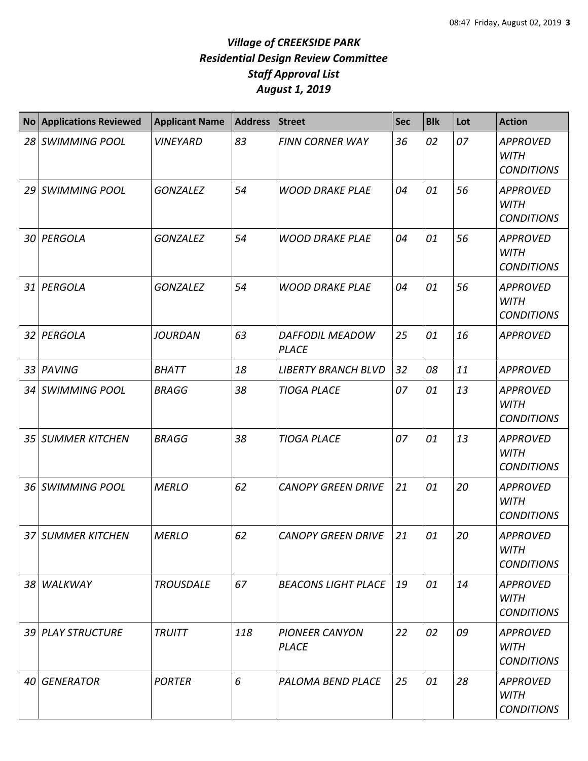| <b>No</b> | <b>Applications Reviewed</b> | <b>Applicant Name</b> | <b>Address</b> | <b>Street</b>                          | <b>Sec</b> | <b>Blk</b> | Lot | <b>Action</b>                                       |
|-----------|------------------------------|-----------------------|----------------|----------------------------------------|------------|------------|-----|-----------------------------------------------------|
| 28        | <b>SWIMMING POOL</b>         | <b>VINEYARD</b>       | 83             | <b>FINN CORNER WAY</b>                 | 36         | 02         | 07  | <b>APPROVED</b><br><b>WITH</b><br><b>CONDITIONS</b> |
| 29 I      | <b>SWIMMING POOL</b>         | <b>GONZALEZ</b>       | 54             | <b>WOOD DRAKE PLAE</b>                 | 04         | 01         | 56  | <b>APPROVED</b><br><b>WITH</b><br><b>CONDITIONS</b> |
| 30 I      | PERGOLA                      | <b>GONZALEZ</b>       | 54             | <b>WOOD DRAKE PLAE</b>                 | 04         | 01         | 56  | <b>APPROVED</b><br><b>WITH</b><br><b>CONDITIONS</b> |
| 31        | PERGOLA                      | <b>GONZALEZ</b>       | 54             | <b>WOOD DRAKE PLAE</b>                 | 04         | 01         | 56  | <b>APPROVED</b><br><b>WITH</b><br><b>CONDITIONS</b> |
| 32        | PERGOLA                      | <b>JOURDAN</b>        | 63             | <b>DAFFODIL MEADOW</b><br><b>PLACE</b> | 25         | 01         | 16  | <b>APPROVED</b>                                     |
| 33        | PAVING                       | <b>BHATT</b>          | 18             | <b>LIBERTY BRANCH BLVD</b>             | 32         | 08         | 11  | <b>APPROVED</b>                                     |
| 34        | <b>SWIMMING POOL</b>         | <b>BRAGG</b>          | 38             | <b>TIOGA PLACE</b>                     | 07         | 01         | 13  | <b>APPROVED</b><br><b>WITH</b><br><b>CONDITIONS</b> |
| 35        | <b>SUMMER KITCHEN</b>        | <b>BRAGG</b>          | 38             | <b>TIOGA PLACE</b>                     | 07         | 01         | 13  | <b>APPROVED</b><br><b>WITH</b><br><b>CONDITIONS</b> |
| 36 I      | <b>SWIMMING POOL</b>         | <b>MERLO</b>          | 62             | <b>CANOPY GREEN DRIVE</b>              | 21         | 01         | 20  | <b>APPROVED</b><br><b>WITH</b><br><b>CONDITIONS</b> |
|           | 37 SUMMER KITCHEN            | <b>MERLO</b>          | 62             | <b>CANOPY GREEN DRIVE</b>              | 21         | 01         | 20  | <b>APPROVED</b><br><b>WITH</b><br><b>CONDITIONS</b> |
|           | 38 WALKWAY                   | <b>TROUSDALE</b>      | 67             | <b>BEACONS LIGHT PLACE</b>             | 19         | 01         | 14  | <b>APPROVED</b><br><b>WITH</b><br><b>CONDITIONS</b> |
|           | 39 PLAY STRUCTURE            | <b>TRUITT</b>         | 118            | <b>PIONEER CANYON</b><br><b>PLACE</b>  | 22         | 02         | 09  | <b>APPROVED</b><br><b>WITH</b><br><b>CONDITIONS</b> |
| 40 I      | <b>GENERATOR</b>             | <b>PORTER</b>         | 6              | PALOMA BEND PLACE                      | 25         | 01         | 28  | <b>APPROVED</b><br><b>WITH</b><br><b>CONDITIONS</b> |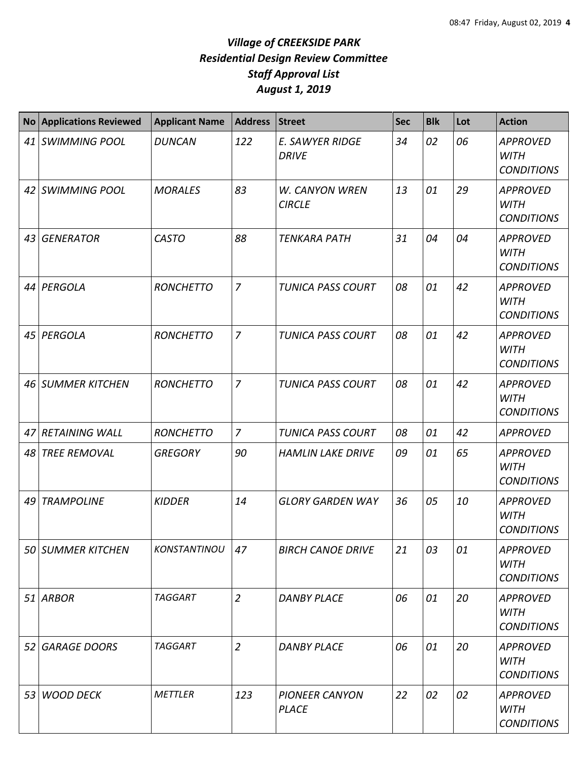|    | No Applications Reviewed | <b>Applicant Name</b> | <b>Address</b> | Street                                 | <b>Sec</b> | <b>Blk</b> | Lot | <b>Action</b>                                       |
|----|--------------------------|-----------------------|----------------|----------------------------------------|------------|------------|-----|-----------------------------------------------------|
|    | 41 SWIMMING POOL         | <b>DUNCAN</b>         | 122            | E. SAWYER RIDGE<br><b>DRIVE</b>        | 34         | 02         | 06  | <b>APPROVED</b><br><b>WITH</b><br><b>CONDITIONS</b> |
|    | 42 SWIMMING POOL         | <b>MORALES</b>        | 83             | <b>W. CANYON WREN</b><br><b>CIRCLE</b> | 13         | 01         | 29  | <b>APPROVED</b><br><b>WITH</b><br><b>CONDITIONS</b> |
|    | 43 GENERATOR             | <b>CASTO</b>          | 88             | <b>TENKARA PATH</b>                    | 31         | 04         | 04  | <b>APPROVED</b><br><b>WITH</b><br><b>CONDITIONS</b> |
|    | 44 PERGOLA               | <b>RONCHETTO</b>      | $\overline{z}$ | <b>TUNICA PASS COURT</b>               | 08         | 01         | 42  | <b>APPROVED</b><br><b>WITH</b><br><b>CONDITIONS</b> |
|    | 45 PERGOLA               | <b>RONCHETTO</b>      | $\overline{7}$ | TUNICA PASS COURT                      | 08         | 01         | 42  | <b>APPROVED</b><br><b>WITH</b><br><b>CONDITIONS</b> |
|    | 46 SUMMER KITCHEN        | <b>RONCHETTO</b>      | $\overline{7}$ | <b>TUNICA PASS COURT</b>               | 08         | 01         | 42  | <b>APPROVED</b><br><b>WITH</b><br><b>CONDITIONS</b> |
|    | 47 RETAINING WALL        | <b>RONCHETTO</b>      | $\overline{7}$ | <b>TUNICA PASS COURT</b>               | 08         | 01         | 42  | <b>APPROVED</b>                                     |
| 48 | <b>TREE REMOVAL</b>      | <b>GREGORY</b>        | 90             | <b>HAMLIN LAKE DRIVE</b>               | 09         | 01         | 65  | <b>APPROVED</b><br><b>WITH</b><br><b>CONDITIONS</b> |
|    | 49 TRAMPOLINE            | <b>KIDDER</b>         | 14             | <b>GLORY GARDEN WAY</b>                | 36         | 05         | 10  | <b>APPROVED</b><br><b>WITH</b><br><b>CONDITIONS</b> |
|    | 50 SUMMER KITCHEN        | KONSTANTINOU          | 47             | <b>BIRCH CANOE DRIVE</b>               | 21         | 03         | 01  | <b>APPROVED</b><br><b>WITH</b><br><b>CONDITIONS</b> |
|    | 51 ARBOR                 | <b>TAGGART</b>        | $\overline{2}$ | <b>DANBY PLACE</b>                     | 06         | 01         | 20  | <b>APPROVED</b><br><b>WITH</b><br><b>CONDITIONS</b> |
|    | 52 GARAGE DOORS          | <b>TAGGART</b>        | $\overline{2}$ | <b>DANBY PLACE</b>                     | 06         | 01         | 20  | <b>APPROVED</b><br><b>WITH</b><br><b>CONDITIONS</b> |
|    | 53 WOOD DECK             | METTLER               | 123            | <b>PIONEER CANYON</b><br><b>PLACE</b>  | 22         | 02         | 02  | <b>APPROVED</b><br><b>WITH</b><br><b>CONDITIONS</b> |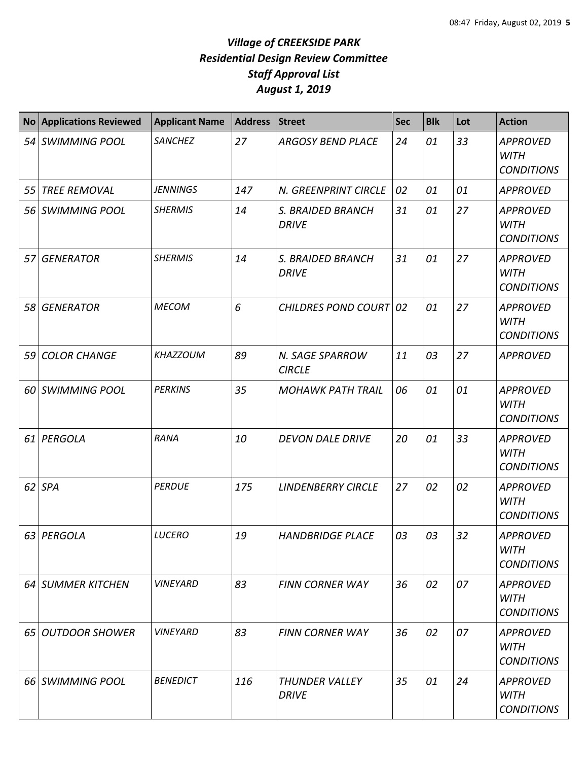| <b>No</b> | <b>Applications Reviewed</b> | <b>Applicant Name</b> | <b>Address</b> | <b>Street</b>                     | <b>Sec</b> | <b>Blk</b> | Lot | <b>Action</b>                                       |
|-----------|------------------------------|-----------------------|----------------|-----------------------------------|------------|------------|-----|-----------------------------------------------------|
|           | 54 SWIMMING POOL             | <b>SANCHEZ</b>        | 27             | <b>ARGOSY BEND PLACE</b>          | 24         | 01         | 33  | <b>APPROVED</b><br><b>WITH</b><br><b>CONDITIONS</b> |
| 55        | <b>TREE REMOVAL</b>          | <b>JENNINGS</b>       | 147            | N. GREENPRINT CIRCLE              | 02         | 01         | 01  | <b>APPROVED</b>                                     |
| 56        | <b>SWIMMING POOL</b>         | <b>SHERMIS</b>        | 14             | S. BRAIDED BRANCH<br><b>DRIVE</b> | 31         | 01         | 27  | <b>APPROVED</b><br><b>WITH</b><br><b>CONDITIONS</b> |
| 57        | <b>GENERATOR</b>             | <b>SHERMIS</b>        | 14             | S. BRAIDED BRANCH<br><b>DRIVE</b> | 31         | 01         | 27  | <b>APPROVED</b><br><b>WITH</b><br><b>CONDITIONS</b> |
| 58        | <b>GENERATOR</b>             | <b>MECOM</b>          | 6              | CHILDRES POND COURT 02            |            | 01         | 27  | <b>APPROVED</b><br><b>WITH</b><br><b>CONDITIONS</b> |
| 59        | <b>COLOR CHANGE</b>          | <b>KHAZZOUM</b>       | 89             | N. SAGE SPARROW<br><b>CIRCLE</b>  | 11         | 03         | 27  | <b>APPROVED</b>                                     |
| 60        | <b>SWIMMING POOL</b>         | <b>PERKINS</b>        | 35             | <b>MOHAWK PATH TRAIL</b>          | 06         | 01         | 01  | <b>APPROVED</b><br><b>WITH</b><br><b>CONDITIONS</b> |
| 61        | PERGOLA                      | <b>RANA</b>           | 10             | <b>DEVON DALE DRIVE</b>           | 20         | 01         | 33  | <b>APPROVED</b><br><b>WITH</b><br><b>CONDITIONS</b> |
|           | $62$ SPA                     | <b>PERDUE</b>         | 175            | <b>LINDENBERRY CIRCLE</b>         | 27         | 02         | 02  | <b>APPROVED</b><br><b>WITH</b><br><b>CONDITIONS</b> |
| 63        | PERGOLA                      | <b>LUCERO</b>         | 19             | <b>HANDBRIDGE PLACE</b>           | 03         | 03         | 32  | <b>APPROVED</b><br><b>WITH</b><br><b>CONDITIONS</b> |
|           | 64 SUMMER KITCHEN            | <b>VINEYARD</b>       | 83             | <b>FINN CORNER WAY</b>            | 36         | 02         | 07  | <b>APPROVED</b><br><b>WITH</b><br><b>CONDITIONS</b> |
|           | 65 OUTDOOR SHOWER            | <b>VINEYARD</b>       | 83             | <b>FINN CORNER WAY</b>            | 36         | 02         | 07  | APPROVED<br><b>WITH</b><br><b>CONDITIONS</b>        |
|           | 66 SWIMMING POOL             | <b>BENEDICT</b>       | 116            | THUNDER VALLEY<br><b>DRIVE</b>    | 35         | 01         | 24  | <b>APPROVED</b><br>WITH<br><b>CONDITIONS</b>        |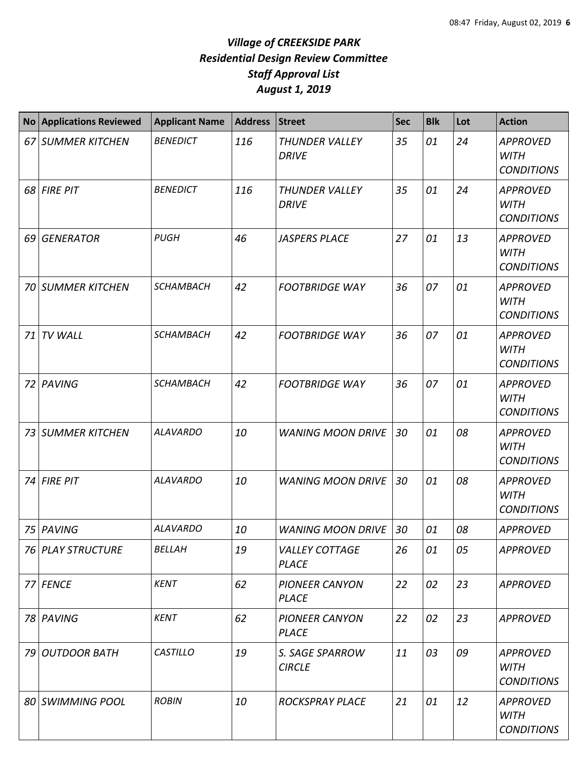|      | No Applications Reviewed | <b>Applicant Name</b> | <b>Address</b> | <b>Street</b>                         | <b>Sec</b> | <b>Blk</b> | Lot | <b>Action</b>                                       |
|------|--------------------------|-----------------------|----------------|---------------------------------------|------------|------------|-----|-----------------------------------------------------|
|      | 67 SUMMER KITCHEN        | <b>BENEDICT</b>       | 116            | <b>THUNDER VALLEY</b><br><b>DRIVE</b> | 35         | 01         | 24  | <b>APPROVED</b><br><b>WITH</b><br><b>CONDITIONS</b> |
|      | 68 FIRE PIT              | <b>BENEDICT</b>       | 116            | <b>THUNDER VALLEY</b><br><b>DRIVE</b> | 35         | 01         | 24  | <b>APPROVED</b><br><b>WITH</b><br><b>CONDITIONS</b> |
| 69 I | <b>GENERATOR</b>         | <b>PUGH</b>           | 46             | <b>JASPERS PLACE</b>                  | 27         | 01         | 13  | <b>APPROVED</b><br><b>WITH</b><br><b>CONDITIONS</b> |
| 70   | <b>SUMMER KITCHEN</b>    | <b>SCHAMBACH</b>      | 42             | <b>FOOTBRIDGE WAY</b>                 | 36         | 07         | 01  | <b>APPROVED</b><br><b>WITH</b><br><b>CONDITIONS</b> |
| 71   | TV WALL                  | <b>SCHAMBACH</b>      | 42             | <b>FOOTBRIDGE WAY</b>                 | 36         | 07         | 01  | <b>APPROVED</b><br><b>WITH</b><br><b>CONDITIONS</b> |
| 72   | PAVING                   | <b>SCHAMBACH</b>      | 42             | <b>FOOTBRIDGE WAY</b>                 | 36         | 07         | 01  | <b>APPROVED</b><br><b>WITH</b><br><b>CONDITIONS</b> |
| 73   | <b>SUMMER KITCHEN</b>    | <b>ALAVARDO</b>       | 10             | <b>WANING MOON DRIVE</b>              | 30         | 01         | 08  | <b>APPROVED</b><br><b>WITH</b><br><b>CONDITIONS</b> |
| 74   | <b>FIRE PIT</b>          | <b>ALAVARDO</b>       | 10             | <b>WANING MOON DRIVE</b>              | 30         | 01         | 08  | <b>APPROVED</b><br><b>WITH</b><br><b>CONDITIONS</b> |
| 75   | PAVING                   | <b>ALAVARDO</b>       | 10             | <b>WANING MOON DRIVE</b>              | 30         | 01         | 08  | <b>APPROVED</b>                                     |
|      | 76 PLAY STRUCTURE        | <b>BELLAH</b>         | 19             | <b>VALLEY COTTAGE</b><br><b>PLACE</b> | 26         | 01         | 05  | <b>APPROVED</b>                                     |
|      | 77 FENCE                 | <b>KENT</b>           | 62             | <b>PIONEER CANYON</b><br><b>PLACE</b> | 22         | 02         | 23  | <b>APPROVED</b>                                     |
|      | 78 PAVING                | <b>KENT</b>           | 62             | <b>PIONEER CANYON</b><br><b>PLACE</b> | 22         | 02         | 23  | <b>APPROVED</b>                                     |
|      | 79 OUTDOOR BATH          | <b>CASTILLO</b>       | 19             | S. SAGE SPARROW<br><b>CIRCLE</b>      | 11         | 03         | 09  | <b>APPROVED</b><br><b>WITH</b><br><b>CONDITIONS</b> |
|      | 80 SWIMMING POOL         | <b>ROBIN</b>          | 10             | <b>ROCKSPRAY PLACE</b>                | 21         | 01         | 12  | <b>APPROVED</b><br><b>WITH</b><br><b>CONDITIONS</b> |